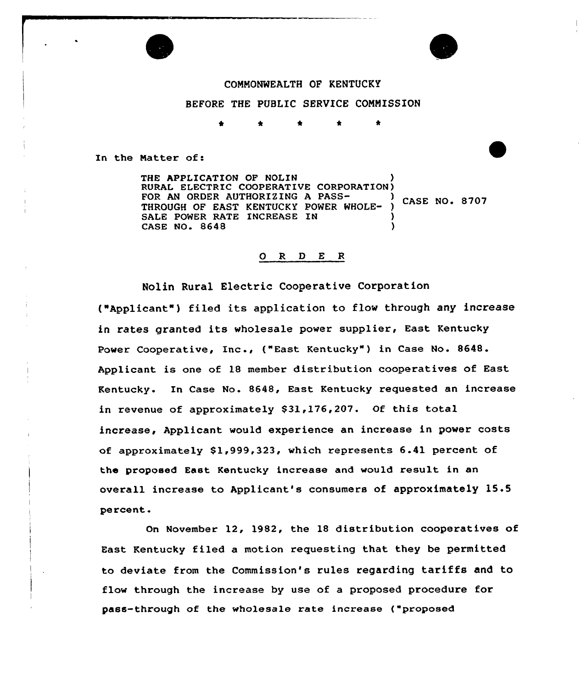



COMNONWEALTH OF KENTUCKY BEFORE THE PUBLIC SERVICE COMMISSION

In the Matter of:

THE APPLICATION OF NOLIN RURAL ELECTRIC COOPERATIUE CORPORATION) FOR AN ORDER AUTHORIZING A PASS-<br>
The state of the material contract of the case NO. 8707 THROUGH OF EAST KENTUCKY POWER WHOLE-SALE POWER RATE INCREASE IN CASE NO. 8648

# O R D E R

Nolin Rural Electric Cooperative Corporation ("Applicant") filed its application to flow through any increase in rates granted its wholesale power supplier, East Kentucky Power Cooperative, Inc., ("East Kentucky") in Case No. 8648. Applicant is one of 18 member distribution cooperatives of East Kentucky. In Case No. 8648, East Kentucky requested an increase in revenue of approximately \$31,176,207. Of this total increase, Applicant would experience an increase in power costs of approximately 81,999,323, which represents 6.41 percent of the proposed East Kentucky increase and would result in an overall increase to Applicant's consumers of approximately 15.5 percent.

On November 12, 1982, the 18 distribution cooperatives of East Kentucky filed a motion requesting that they be permitted to deviate from the Commission's rules regarding tariffs and to flow through the increase by use of a proposed procedure for pass-through of the wholesale rate increase ("proposed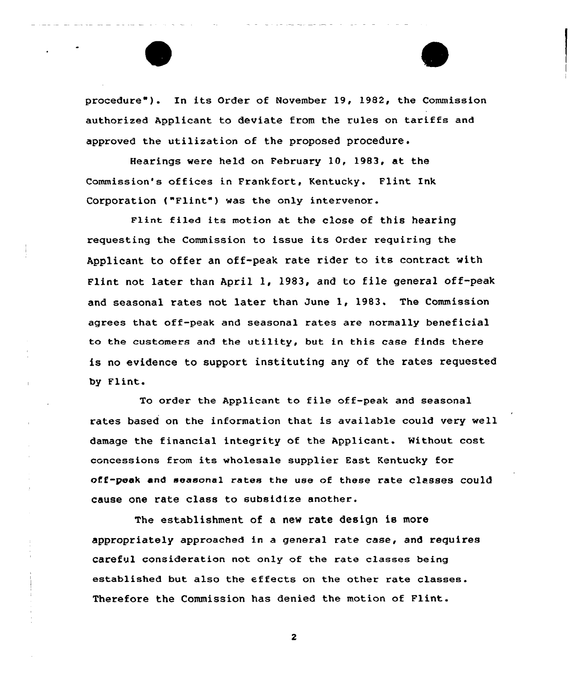procedure" ) . In its Order of November 19, 1982, the Commission authorized Applicant to deviate from the rules on tariffs and approved the utilization of the proposed procedure.

Hearings were held on February 10, 1983, at the Commission's offices in Frankfort, Kentucky. Flint Ink Corporation ("Flint") was the only intervenor.

Flint filed its motion at the close of this hearing requesting the Commission to issue its Order requiring the Applicant to offer an off-peak rate rider to its contract with Flint not later than April 1, 1983, and to file general off-peak and seasonal rates not later than June 1, 1983, The Commission agrees that off-peak and seasonal rates are normally beneficial to the customers and the utility, but in this case finds there is no evidence to support instituting any of the rates requested by Flint.

To order the Applicant to file off-peak and seasonal rates based on the information that is available could very well damage the financial integrity of the Applicant. Without cost concessions from its wholesale supplier East Kentucky for off-peak and seasonal rates the use of these rate classes could cause one rate class to subsidize another.

The establishment of a new rate design is more appropriately approached in a general rate case, and requires careful consideration not only of the rate classes being established but also the effects on the other rate classes. Therefore the Commission has denied the motion of Flint.

 $\mathbf{z}$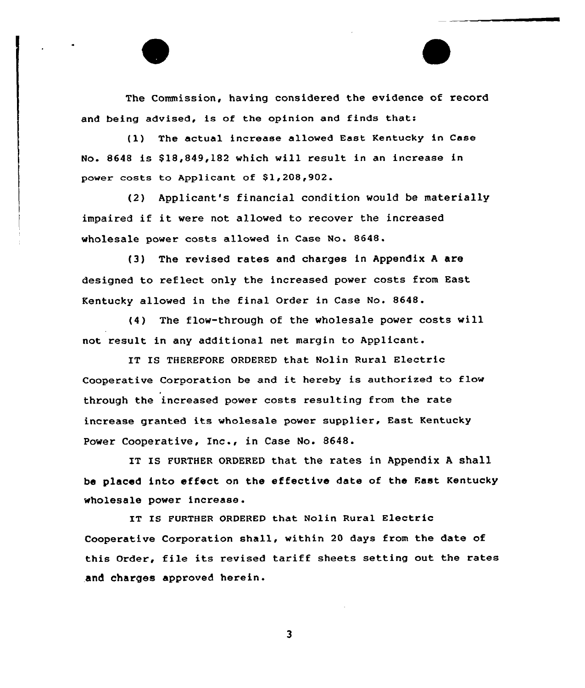The Commission, having considered the evidence of record and being advised, is of the opinion and finds that:

(1) The actual increase allowed East Kentucky in Case No. 8648 is \$18,849,182 which will result in an increase in power costs to Applicant of \$1,208,902.

(2) Applicant's financial condition would be materially impaired if it were not allowed to recover the increased wholesale power costs allowed in Case No. 8648.

(3) The revised rates and charges in Appendix <sup>A</sup> are designed to reflect only the increased power costs from East Kentucky allowed in the final Order in Case No. 8648.

(4) The flow-through of the wholesale power costs will not result in any additional net margin to Applicant.

IT IS THEREFORE ORDERED that Nolin Rural Electric Cooperative Corporation be and it hereby is authorized to flow through the increased power costs resulting from the rate increase granted its wholesale power supplier, East Kentucky Power Cooperative, Inc., in Case No. 8648.

IT IS FURTHER ORDERED that the rates in Appendix A shall be placed into effect on the effective date of the East Kentucky wholesale power increase.

IT IS FURTHER ORDERED that Nolin Rural Electric Cooperative Corporation shall, within 20 days from the date of this Order, file its revised tariff sheets setting out the rates and charges approved herein.

 $\overline{\mathbf{3}}$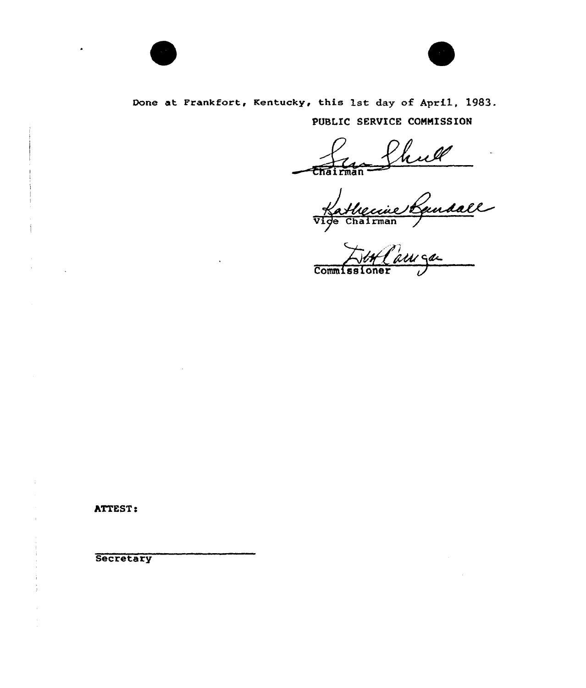



# Done at Frankfort, Kentucky, this 1st day of April, 1983. PUBLIC SERVICE COMMISSION

Vige Chairma<br>.

Commissione

**ATTEST:** 

**Secretary**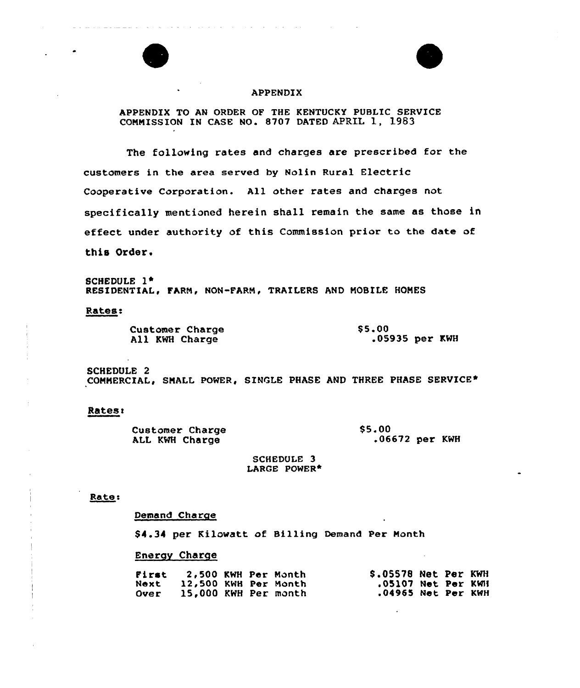

# APPENDIX

 $\mathcal{A}$  , and  $\mathcal{A}$  is a set of the set of the  $\mathcal{A}$ 

والمستحدث والمتعارف والمتحدث والمتحدث

### APPENDIX TO AN ORDER OF THE KENTUCKY PUBLIC SERVICE CONNISSION IN CASE NO. 8707 DATED APRIL 1, 1983

The following rates and charges are prescribed for the customers in the area served by Nolin Rural Electric Cooperative Corporation. All other rates and charges not specifically mentioned herein shall remain the same as those in effect under authority of this Commission prior to the date of this Order.

SCHEDULE 1\* RESIDENTIAL, FARM, NON-FARM, TRAILERS AND MOBILE HOMES

Rates

|                | <b>Customer Charge</b> | \$5.00           |  |
|----------------|------------------------|------------------|--|
| All KWH Charge |                        | .05935 $per$ KWH |  |

SCHEDULE 2 COMMERCIAL, SMALL POWER, SINGLE PHASE AND THREE PHASE SERVICE\*

### **Rates:**

| <b>Customer Charge</b> | <b>S5.00</b>     |  |  |  |
|------------------------|------------------|--|--|--|
| ALL KWH Charge         | $.06672$ per KWH |  |  |  |

SCHEDULE 3 LARGE POWER\*

### Rate:

## Demand Charge

\$4.34 per Kilowatt of Billing Demand Per Month

### Energy Charge

| . First | 2,500 KWH Per Month  |  | \$.05578 Net Per KWH |  |  |
|---------|----------------------|--|----------------------|--|--|
| Next    | 12,500 KWH Per Month |  | .05107 Net Per KWH   |  |  |
| Over    | 15,000 KWH Per month |  | .04965 Net Per KWH   |  |  |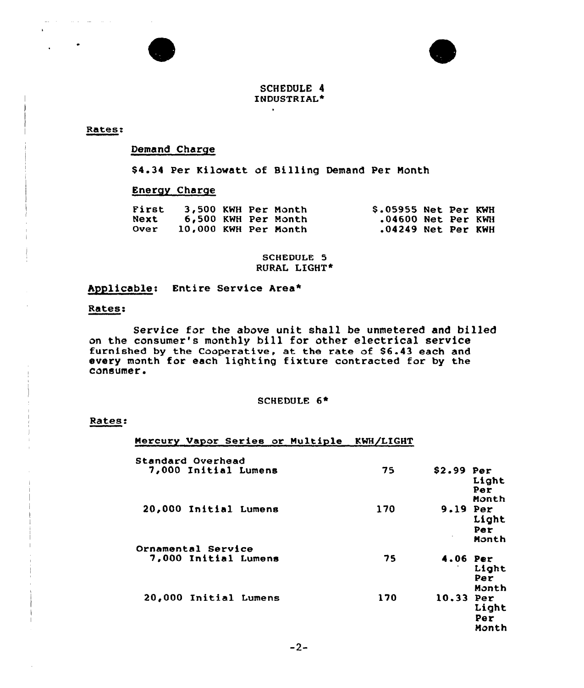



# SCHEDULE 4 INDUSTRIAL\*

 $\bullet$ 

Rates:

 $\omega_{\rm c}$  , and  $\omega_{\rm c}$  , and  $\omega_{\rm c}$ 

Demand Charge

\$4.34 Per Kilowatt of Billing Demand Per Month

# Energy Charge

| First       | 3,500 KWH Per Month  |  | \$.05955 Net Per KWH |  |  |
|-------------|----------------------|--|----------------------|--|--|
| <b>Next</b> | 6,500 KWH Per Month  |  | $.04600$ Net Per KWH |  |  |
| <b>Over</b> | 10,000 KWH Per Month |  | $.04249$ Net Per KWH |  |  |

SCHEDULE 5 RURAL LIGHT\*

# Applicable: Entire Service Area\*

### Rates:

Service for the above unit shall be unmetered and billed on the consumer's monthly bill for other electrical service furnished by the Cooperative, at the rate of \$6.43 each and every month for each lighting fixture contracted for by the consumer.

# SCHEDULE 6+

### Rates:

### Mexcury Vapor Series or Multiple KWH/LIGHT

| Standard Overhead                          |     |                                      |
|--------------------------------------------|-----|--------------------------------------|
| 7,000 Initial Lumens                       | 75  | $$2.99$ Per<br>Light<br>Per<br>Month |
| 20,000 Initial Lumens                      | 170 | 9.19 Per<br>Light<br>Per<br>Month    |
| Ornamental Service<br>7,000 Initial Lumens | 75  | 4.06 Per<br>Light<br>Per<br>Month    |
| 20,000 Initial Lumens                      | 170 | $10.33$ Per<br>Light<br>Per<br>Month |